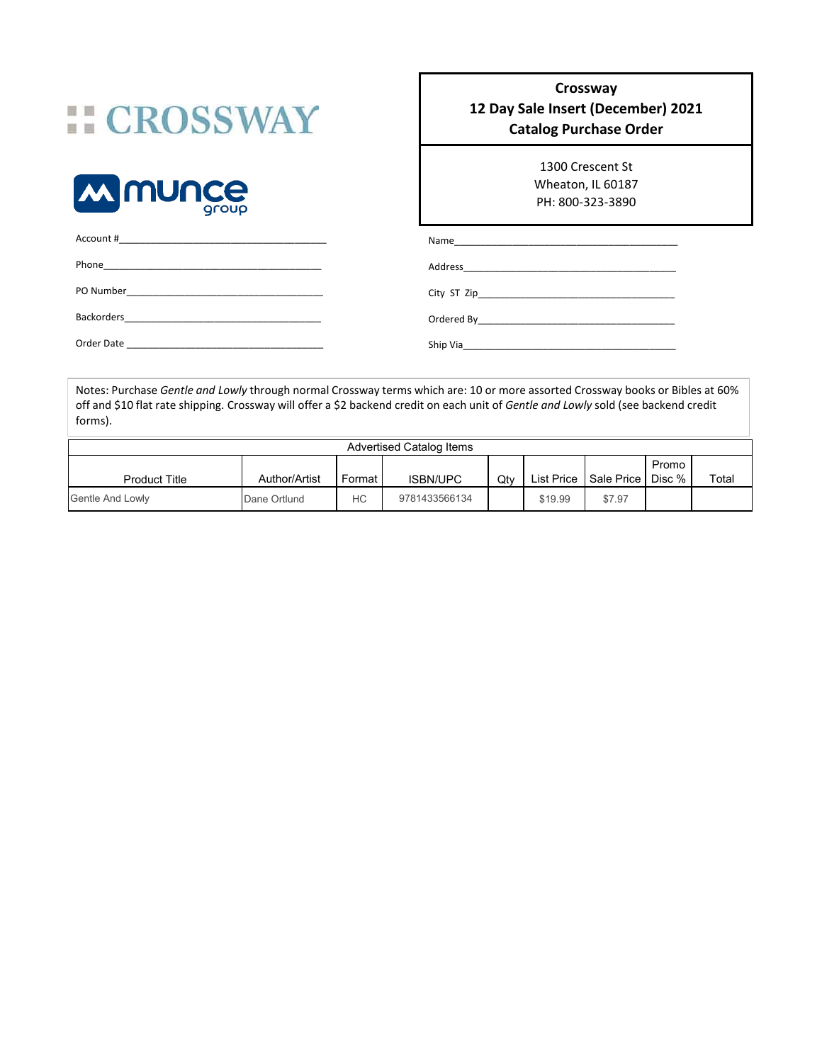## **:: CROSSWAY**



Account #\_\_\_\_\_\_\_\_\_\_\_\_\_\_\_\_\_\_\_\_\_\_\_\_\_\_\_\_\_\_\_\_\_\_\_\_\_\_\_

## **Crossway 12 Day Sale Insert (December) 2021 Catalog Purchase Order**

1300 Crescent St Wheaton, IL 60187 PH: 800-323-3890

| Account #<br>the control of the control of the control of the control of the control of the control of the control of the control of the control of the control of the control of the control of the control of the control of the control |          |
|--------------------------------------------------------------------------------------------------------------------------------------------------------------------------------------------------------------------------------------------|----------|
| Phone<br>the control of the control of the control of the control of the control of the control of                                                                                                                                         |          |
|                                                                                                                                                                                                                                            |          |
|                                                                                                                                                                                                                                            |          |
| Order Date                                                                                                                                                                                                                                 | Ship Via |

Notes: Purchase *Gentle and Lowly* through normal Crossway terms which are: 10 or more assorted Crossway books or Bibles at 60% off and \$10 flat rate shipping. Crossway will offer a \$2 backend credit on each unit of *Gentle and Lowly* sold (see backend credit forms).

|                         |               |        | <b>Advertised Catalog Items</b> |     |            |                     |       |       |
|-------------------------|---------------|--------|---------------------------------|-----|------------|---------------------|-------|-------|
| <b>Product Title</b>    | Author/Artist | Format | <b>ISBN/UPC</b>                 | Qty | List Price | Sale Price   Disc % | Promo | Total |
| <b>Gentle And Lowly</b> | Dane Ortlund  | НC     | 9781433566134                   |     | \$19.99    | \$7.97              |       |       |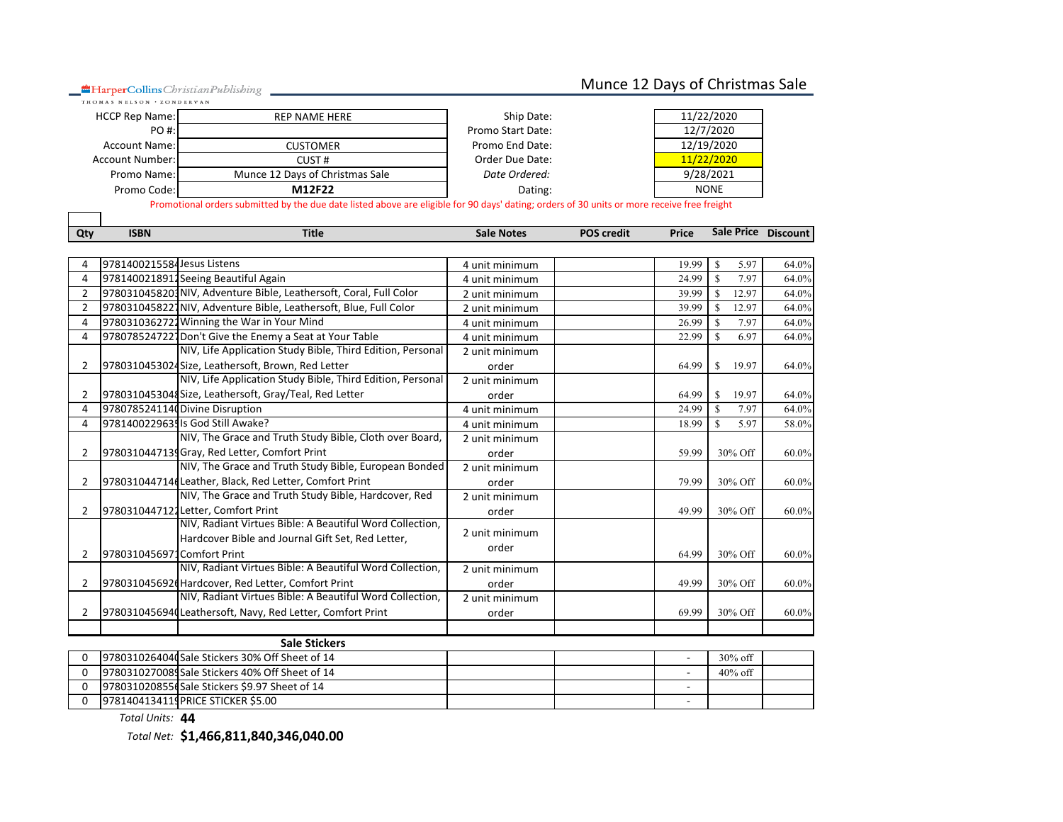HarperCollins Christian Publishing

## Munce 12 Days of Christmas Sale

| <b>HCCP Rep Name:</b> | REP NAME HERE                   | Ship Date:        | 11/22/2020  |
|-----------------------|---------------------------------|-------------------|-------------|
| PO #:                 |                                 | Promo Start Date: | 12/7/2020   |
| Account Name:         | CUSTOMER                        | Promo End Date:   | 12/19/2020  |
| Account Number:       | CUST #                          | Order Due Date:   | 11/22/2020  |
| Promo Name:           | Munce 12 Days of Christmas Sale | Date Ordered:     | 9/28/2021   |
| Promo Code:           | M12F22                          | Dating:           | <b>NONE</b> |

Promotional orders submitted by the due date listed above are eligible for 90 days' dating; orders of 30 units or more receive free freight

| Qty            | <b>ISBN</b>                | <b>Title</b>                                                       | <b>Sale Notes</b> | <b>POS credit</b> | Price | Sale Price Discount   |       |
|----------------|----------------------------|--------------------------------------------------------------------|-------------------|-------------------|-------|-----------------------|-------|
|                |                            |                                                                    |                   |                   |       |                       |       |
| Δ              | 9781400215584Jesus Listens |                                                                    | 4 unit minimum    |                   | 19.99 | S<br>5.97             | 64.0% |
| $\overline{4}$ |                            | 9781400218912Seeing Beautiful Again                                | 4 unit minimum    |                   | 24.99 | $\mathbf S$<br>7.97   | 64.0% |
| $\overline{2}$ |                            | 9780310458203 NIV, Adventure Bible, Leathersoft, Coral, Full Color | 2 unit minimum    |                   | 39.99 | S.<br>12.97           | 64.0% |
| $\overline{2}$ |                            | 9780310458227 NIV, Adventure Bible, Leathersoft, Blue, Full Color  | 2 unit minimum    |                   | 39.99 | $\mathbf{s}$<br>12.97 | 64.0% |
| 4              |                            | 9780310362722 Winning the War in Your Mind                         | 4 unit minimum    |                   | 26.99 | 7.97<br>$\mathbf{s}$  | 64.0% |
| 4              |                            | 9780785247227 Don't Give the Enemy a Seat at Your Table            | 4 unit minimum    |                   | 22.99 | S<br>6.97             | 64.0% |
|                |                            | NIV, Life Application Study Bible, Third Edition, Personal         | 2 unit minimum    |                   |       |                       |       |
| 2              |                            | 9780310453024Size, Leathersoft, Brown, Red Letter                  | order             |                   | 64.99 | \$<br>19.97           | 64.0% |
|                |                            | NIV, Life Application Study Bible, Third Edition, Personal         | 2 unit minimum    |                   |       |                       |       |
| 2              |                            | 9780310453048 Size, Leathersoft, Gray/Teal, Red Letter             | order             |                   | 64.99 | S<br>19.97            | 64.0% |
| $\Delta$       |                            | 9780785241140 Divine Disruption                                    | 4 unit minimum    |                   | 24.99 | S<br>7.97             | 64.0% |
| 4              |                            | 9781400229635 Is God Still Awake?                                  | 4 unit minimum    |                   | 18.99 | $\mathbb{S}$<br>5.97  | 58.0% |
|                |                            | NIV, The Grace and Truth Study Bible, Cloth over Board,            | 2 unit minimum    |                   |       |                       |       |
| 2              |                            | 9780310447139 Gray, Red Letter, Comfort Print                      | order             |                   | 59.99 | 30% Off               | 60.0% |
|                |                            | NIV, The Grace and Truth Study Bible, European Bonded              | 2 unit minimum    |                   |       |                       |       |
| 2              |                            | 9780310447146 Leather, Black, Red Letter, Comfort Print            | order             |                   | 79.99 | 30% Off               | 60.0% |
|                |                            | NIV, The Grace and Truth Study Bible, Hardcover, Red               | 2 unit minimum    |                   |       |                       |       |
| 2              |                            | 9780310447122 Letter, Comfort Print                                | order             |                   | 49.99 | 30% Off               | 60.0% |
|                |                            | NIV, Radiant Virtues Bible: A Beautiful Word Collection,           |                   |                   |       |                       |       |
|                |                            | Hardcover Bible and Journal Gift Set, Red Letter,                  | 2 unit minimum    |                   |       |                       |       |
| 2              | 9780310456971Comfort Print |                                                                    | order             |                   | 64.99 | 30% Off               | 60.0% |
|                |                            | NIV, Radiant Virtues Bible: A Beautiful Word Collection,           | 2 unit minimum    |                   |       |                       |       |
| $\overline{2}$ |                            | 978031045692d Hardcover, Red Letter, Comfort Print                 | order             |                   | 49.99 | 30% Off               | 60.0% |
|                |                            | NIV, Radiant Virtues Bible: A Beautiful Word Collection,           | 2 unit minimum    |                   |       |                       |       |
| 2              |                            | 9780310456940 Leathersoft, Navy, Red Letter, Comfort Print         | order             |                   | 69.99 | 30% Off               | 60.0% |
|                |                            |                                                                    |                   |                   |       |                       |       |
|                |                            | <b>Sale Stickers</b>                                               |                   |                   |       |                       |       |
| $\Omega$       |                            | 9780310264040 Sale Stickers 30% Off Sheet of 14                    |                   |                   |       | $30\%$ off            |       |
| 0              |                            | 9780310270089 Sale Stickers 40% Off Sheet of 14                    |                   |                   |       | 40% off               |       |
| $\Omega$       |                            | 9780310208556 Sale Stickers \$9.97 Sheet of 14                     |                   |                   |       |                       |       |

0 9781404134119PRICE STICKER \$5.00 **STICKER \$5.00** *Total Units:* **44**

*Total Net:* **\$1,466,811,840,346,040.00**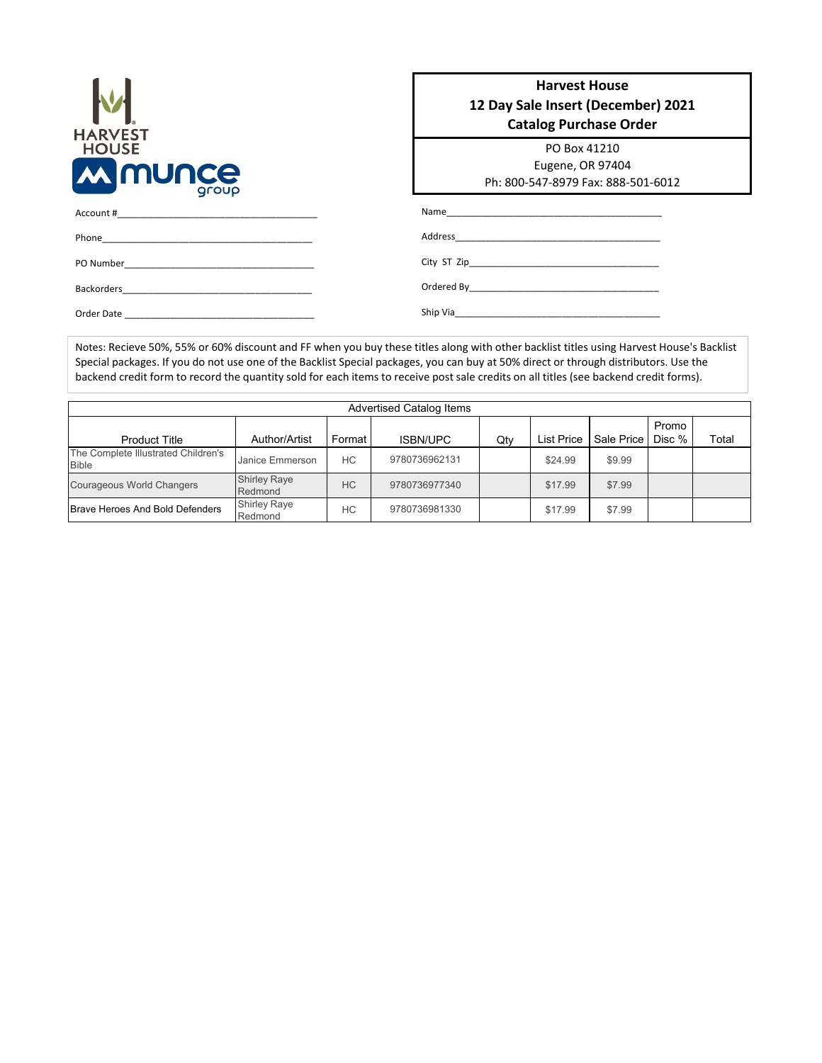| <b>HARVEST</b><br><b>HOUSE</b> |           |
|--------------------------------|-----------|
|                                |           |
| <b><i>MINUNCE</i></b>          | roup<br>Q |

Phone\_

Account #\_\_\_\_\_\_\_\_\_\_\_\_\_\_\_\_\_\_\_\_\_\_\_\_\_\_\_\_\_\_\_\_\_\_\_\_\_\_\_

PO Number\_\_\_\_\_\_\_\_\_\_\_\_\_\_\_\_\_\_\_\_\_\_\_\_\_\_\_\_\_\_\_\_\_\_\_\_\_ Backorders\_\_\_\_\_\_\_\_\_\_\_\_\_\_\_\_\_\_\_\_\_\_\_\_\_\_\_\_\_\_\_\_\_\_\_\_\_ Order Date \_\_\_\_\_\_\_\_\_\_\_\_\_\_\_\_\_\_\_\_\_\_\_\_\_\_\_\_\_\_\_\_\_\_\_\_\_

| <b>Harvest House</b><br>12 Day Sale Insert (December) 2021<br><b>Catalog Purchase Order</b> |
|---------------------------------------------------------------------------------------------|
| PO Box 41210<br>Eugene, OR 97404<br>Ph: 800-547-8979 Fax: 888-501-6012                      |
|                                                                                             |
|                                                                                             |
|                                                                                             |
|                                                                                             |
| Ship Via                                                                                    |

Notes: Recieve 50%, 55% or 60% discount and FF when you buy these titles along with other backlist titles using Harvest House's Backlist Special packages. If you do not use one of the Backlist Special packages, you can buy at 50% direct or through distributors. Use the backend credit form to record the quantity sold for each items to receive post sale credits on all titles (see backend credit forms).

|                                                     |                                |           | <b>Advertised Catalog Items</b> |     |            |            |        |       |
|-----------------------------------------------------|--------------------------------|-----------|---------------------------------|-----|------------|------------|--------|-------|
|                                                     |                                |           |                                 |     |            |            |        |       |
|                                                     |                                |           |                                 |     |            |            | Promo  |       |
| <b>Product Title</b>                                | Author/Artist                  | Format    | <b>ISBN/UPC</b>                 | Qty | List Price | Sale Price | Disc % | Total |
| The Complete Illustrated Children's<br><b>Bible</b> | Janice Emmerson                | НC        | 9780736962131                   |     | \$24.99    | \$9.99     |        |       |
| <b>Courageous World Changers</b>                    | <b>Shirley Raye</b><br>Redmond | <b>HC</b> | 9780736977340                   |     | \$17.99    | \$7.99     |        |       |
| <b>Brave Heroes And Bold Defenders</b>              | <b>Shirley Raye</b><br>Redmond | HC        | 9780736981330                   |     | \$17.99    | \$7.99     |        |       |